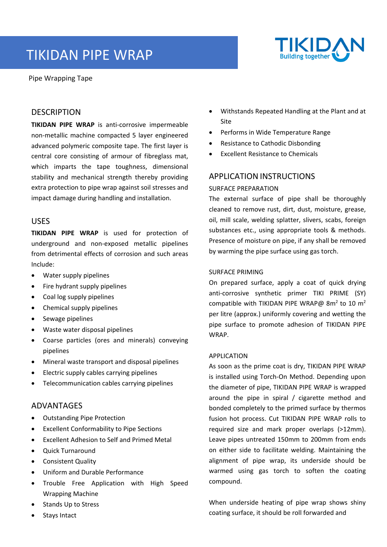# TIKIDAN PIPE WRAP





#### **DESCRIPTION**

**TIKIDAN PIPE WRAP** is anti‐corrosive impermeable non‐metallic machine compacted 5 layer engineered advanced polymeric composite tape. The first layer is central core consisting of armour of fibreglass mat, which imparts the tape toughness, dimensional stability and mechanical strength thereby providing extra protection to pipe wrap against soil stresses and impact damage during handling and installation.

#### USES

**TIKIDAN PIPE WRAP** is used for protection of underground and non‐exposed metallic pipelines from detrimental effects of corrosion and such areas Include:

- Water supply pipelines
- Fire hydrant supply pipelines
- Coal log supply pipelines
- Chemical supply pipelines
- Sewage pipelines
- Waste water disposal pipelines
- Coarse particles (ores and minerals) conveying pipelines
- Mineral waste transport and disposal pipelines
- Electric supply cables carrying pipelines
- Telecommunication cables carrying pipelines

# ADVANTAGES

- Outstanding Pipe Protection
- Excellent Conformability to Pipe Sections
- Excellent Adhesion to Self and Primed Metal
- Quick Turnaround
- Consistent Quality
- Uniform and Durable Performance
- Trouble Free Application with High Speed Wrapping Machine
- Stands Up to Stress
- Stays Intact
- Withstands Repeated Handling at the Plant and at Site
- Performs in Wide Temperature Range
- Resistance to Cathodic Disbonding
- Excellent Resistance to Chemicals

# APPLICATION INSTRUCTIONS

#### SURFACE PREPARATION

The external surface of pipe shall be thoroughly cleaned to remove rust, dirt, dust, moisture, grease, oil, mill scale, welding splatter, slivers, scabs, foreign substances etc., using appropriate tools & methods. Presence of moisture on pipe, if any shall be removed by warming the pipe surface using gas torch.

#### SURFACE PRIMING

On prepared surface, apply a coat of quick drying anti-corrosive synthetic primer TIKI PRIME (SY) compatible with TIKIDAN PIPE WRAP@  $8m^2$  to 10  $m^2$ per litre (approx.) uniformly covering and wetting the pipe surface to promote adhesion of TIKIDAN PIPE WRAP.

#### APPLICATION

As soon as the prime coat is dry, TIKIDAN PIPE WRAP is installed using Torch‐On Method. Depending upon the diameter of pipe, TIKIDAN PIPE WRAP is wrapped around the pipe in spiral / cigarette method and bonded completely to the primed surface by thermos fusion hot process. Cut TIKIDAN PIPE WRAP rolls to required size and mark proper overlaps (>12mm). Leave pipes untreated 150mm to 200mm from ends on either side to facilitate welding. Maintaining the alignment of pipe wrap, its underside should be warmed using gas torch to soften the coating compound.

When underside heating of pipe wrap shows shiny coating surface, it should be roll forwarded and